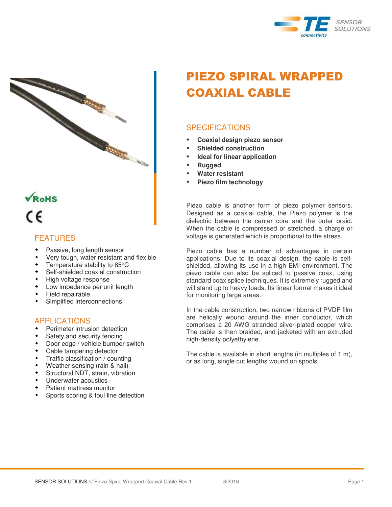



# VROHS ٢F

## FEATURES

- Passive, long length sensor
- Very tough, water resistant and flexible
- Temperature stability to 85°C
- Self-shielded coaxial construction
- High voltage response
- **+** Low impedance per unit length
- Field repairable
- Simplified interconnections

## APPLICATIONS

- **\*** Perimeter intrusion detection
- Safety and security fencing
- Door edge / vehicle bumper switch
- Cable tampering detector
- **Traffic classification / counting**
- Weather sensing (rain & hail)
- Structural NDT, strain, vibration
- Underwater acoustics
- Patient mattress monitor
- **\*** Sports scoring & foul line detection

## PIEZO SPIRAL WRAPPED COAXIAL CABLE

## **SPECIFICATIONS**

- **Coaxial design piezo sensor**
- **Shielded construction**
- **Ideal for linear application**
- **Rugged**
- **Water resistant**
- **Piezo film technology**

Piezo cable is another form of piezo polymer sensors. Designed as a coaxial cable, the Piezo polymer is the dielectric between the center core and the outer braid. When the cable is compressed or stretched, a charge or voltage is generated which is proportional to the stress.

Piezo cable has a number of advantages in certain applications. Due to its coaxial design, the cable is selfshielded, allowing its use in a high EMI environment. The piezo cable can also be spliced to passive coax, using standard coax splice techniques. It is extremely rugged and will stand up to heavy loads. Its linear format makes it ideal for monitoring large areas.

In the cable construction, two narrow ribbons of PVDF film are helically wound around the inner conductor, which comprises a 20 AWG stranded silver-plated copper wire. The cable is then braided, and jacketed with an extruded high-density polyethylene.

The cable is available in short lengths (in multiples of 1 m), or as long, single cut lengths wound on spools.